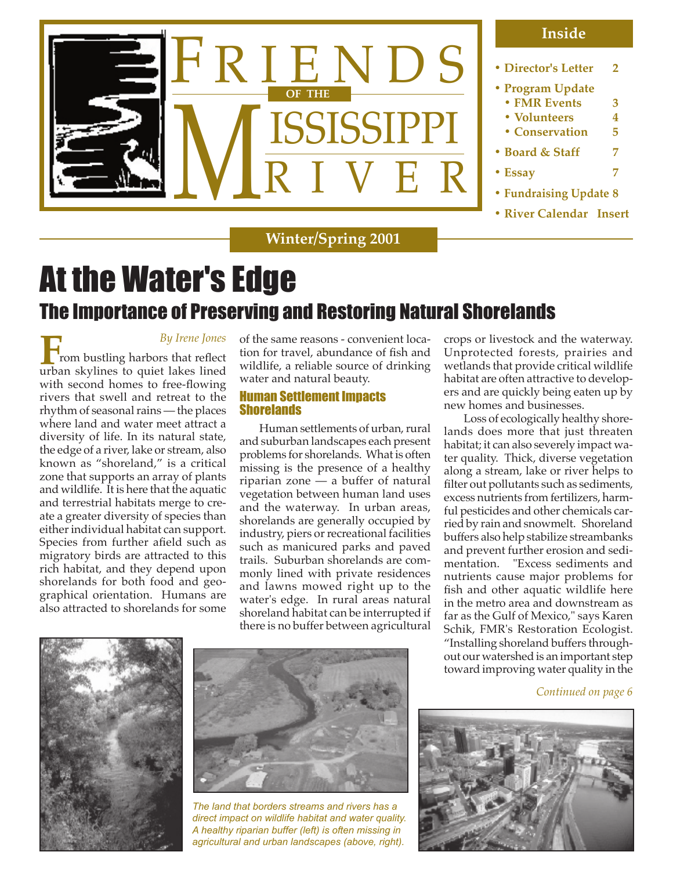

**Winter/Spring 2001**

# At the Water's Edge The Importance of Preserving and Restoring Natural Shorelands

*By Irene Jones*

**From bustling harbors that reflect** urban skylines to quiet lakes lined with second homes to free-flowing rivers that swell and retreat to the rhythm of seasonal rains — the places where land and water meet attract a diversity of life. In its natural state, the edge of a river, lake or stream, also known as "shoreland," is a critical zone that supports an array of plants and wildlife. It is here that the aquatic and terrestrial habitats merge to create a greater diversity of species than either individual habitat can support. Species from further afield such as migratory birds are attracted to this rich habitat, and they depend upon shorelands for both food and geographical orientation. Humans are also attracted to shorelands for some of the same reasons - convenient location for travel, abundance of fish and wildlife, a reliable source of drinking water and natural beauty.

#### Human Settlement Impacts **Shorelands**

Human settlements of urban, rural and suburban landscapes each present problems for shorelands. What is often missing is the presence of a healthy riparian zone — a buffer of natural vegetation between human land uses and the waterway. In urban areas, shorelands are generally occupied by industry, piers or recreational facilities such as manicured parks and paved trails. Suburban shorelands are commonly lined with private residences and lawns mowed right up to the water's edge. In rural areas natural shoreland habitat can be interrupted if there is no buffer between agricultural crops or livestock and the waterway. Unprotected forests, prairies and wetlands that provide critical wildlife habitat are often attractive to developers and are quickly being eaten up by new homes and businesses.

Loss of ecologically healthy shorelands does more that just threaten habitat; it can also severely impact water quality. Thick, diverse vegetation along a stream, lake or river helps to filter out pollutants such as sediments, excess nutrients from fertilizers, harmful pesticides and other chemicals carried by rain and snowmelt. Shoreland buffers also help stabilize streambanks and prevent further erosion and sedimentation. "Excess sediments and nutrients cause major problems for fish and other aquatic wildlife here in the metro area and downstream as far as the Gulf of Mexico," says Karen Schik, FMR's Restoration Ecologist. "Installing shoreland buffers throughout our watershed is an important step toward improving water quality in the





*The land that borders streams and rivers has a direct impact on wildlife habitat and water quality. A healthy riparian buffer (left) is often missing in agricultural and urban landscapes (above, right).*

*Continued on page 6*

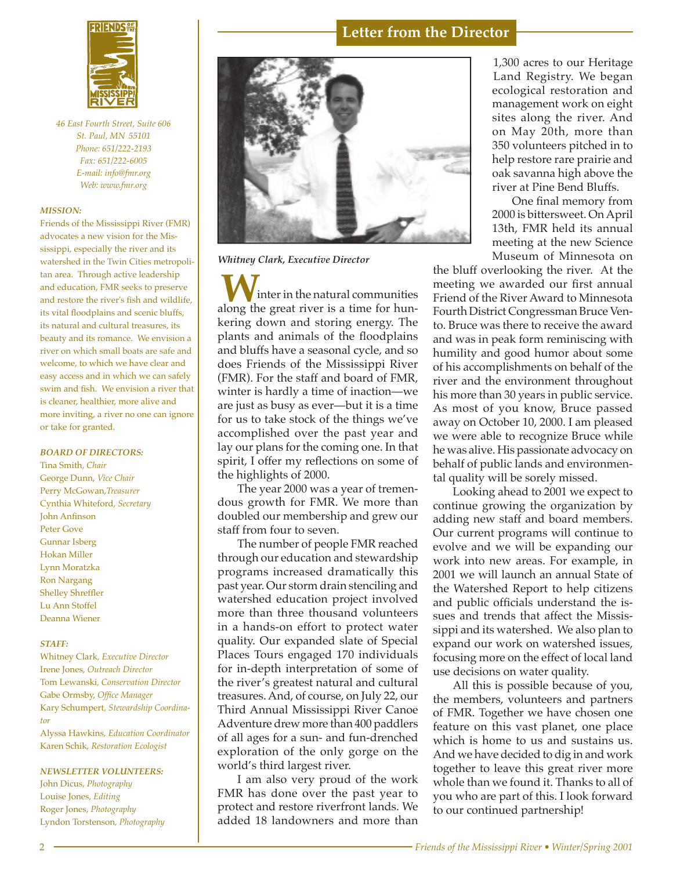

*46 East Fourth Street, Suite 606 St. Paul, MN 55101 Phone: 651/222-2193 Fax: 651/222-6005 E-mail: info@fmr.org Web: www.fmr.org*

#### *MISSION:*

Friends of the Mississippi River (FMR) advocates a new vision for the Mississippi, especially the river and its watershed in the Twin Cities metropolitan area. Through active leadership and education, FMR seeks to preserve and restore the river's fish and wildlife, its vital floodplains and scenic bluffs, its natural and cultural treasures, its beauty and its romance. We envision a river on which small boats are safe and welcome, to which we have clear and easy access and in which we can safely swim and fish. We envision a river that is cleaner, healthier, more alive and more inviting, a river no one can ignore or take for granted.

#### *BOARD OF DIRECTORS:*

Tina Smith, *Chair* George Dunn, *Vice Chair* Perry McGowan,*Treasurer* Cynthia Whiteford, *Secretary* John Anfinson Peter Gove Gunnar Isberg Hokan Miller Lynn Moratzka Ron Nargang Shelley Shreffler Lu Ann Stoffel Deanna Wiener

#### *STAFF:*

Whitney Clark*, Executive Director* Irene Jones, *Outreach Director* Tom Lewanski*, Conservation Director* Gabe Ormsby, *Office Manager* Kary Schumpert*, Stewardship Coordinator*

Alyssa Hawkins, *Education Coordinator* Karen Schik, *Restoration Ecologist*

#### *NEWSLETTER VOLUNTEERS:*

John Dicus, *Photography* Louise Jones, *Editing*  Roger Jones, *Photography* Lyndon Torstenson*, Photography*



*Whitney Clark, Executive Director*

inter in the natural communities along the great river is a time for hunkering down and storing energy. The plants and animals of the floodplains and bluffs have a seasonal cycle, and so does Friends of the Mississippi River (FMR). For the staff and board of FMR, winter is hardly a time of inaction—we are just as busy as ever—but it is a time for us to take stock of the things we've accomplished over the past year and lay our plans for the coming one. In that spirit, I offer my reflections on some of the highlights of 2000.

The year 2000 was a year of tremendous growth for FMR. We more than doubled our membership and grew our staff from four to seven.

The number of people FMR reached through our education and stewardship programs increased dramatically this past year. Our storm drain stenciling and watershed education project involved more than three thousand volunteers in a hands-on effort to protect water quality. Our expanded slate of Special Places Tours engaged 170 individuals for in-depth interpretation of some of the river's greatest natural and cultural treasures. And, of course, on July 22, our Third Annual Mississippi River Canoe Adventure drew more than 400 paddlers of all ages for a sun- and fun-drenched exploration of the only gorge on the world's third largest river.

I am also very proud of the work FMR has done over the past year to protect and restore riverfront lands. We added 18 landowners and more than

ecological restoration and<br>management.uork.on.oight 1,300 acres to our Heritage Land Registry. We began management work on eight sites along the river. And on May 20th, more than 350 volunteers pitched in to help restore rare prairie and oak savanna high above the river at Pine Bend Bluffs.

One final memory from 2000 is bittersweet. On April 13th, FMR held its annual meeting at the new Science Museum of Minnesota on

the bluff overlooking the river. At the meeting we awarded our first annual Friend of the River Award to Minnesota Fourth District Congressman Bruce Vento. Bruce was there to receive the award and was in peak form reminiscing with humility and good humor about some of his accomplishments on behalf of the river and the environment throughout his more than 30 years in public service. As most of you know, Bruce passed away on October 10, 2000. I am pleased we were able to recognize Bruce while he was alive. His passionate advocacy on behalf of public lands and environmental quality will be sorely missed.

 2001 we will launch an annual State of Looking ahead to 2001 we expect to continue growing the organization by adding new staff and board members. Our current programs will continue to evolve and we will be expanding our work into new areas. For example, in the Watershed Report to help citizens and public officials understand the issues and trends that affect the Mississippi and its watershed. We also plan to expand our work on watershed issues, focusing more on the effect of local land use decisions on water quality.

All this is possible because of you, the members, volunteers and partners of FMR. Together we have chosen one feature on this vast planet, one place which is home to us and sustains us. And we have decided to dig in and work together to leave this great river more whole than we found it. Thanks to all of you who are part of this. I look forward to our continued partnership!

**Letter from the Director**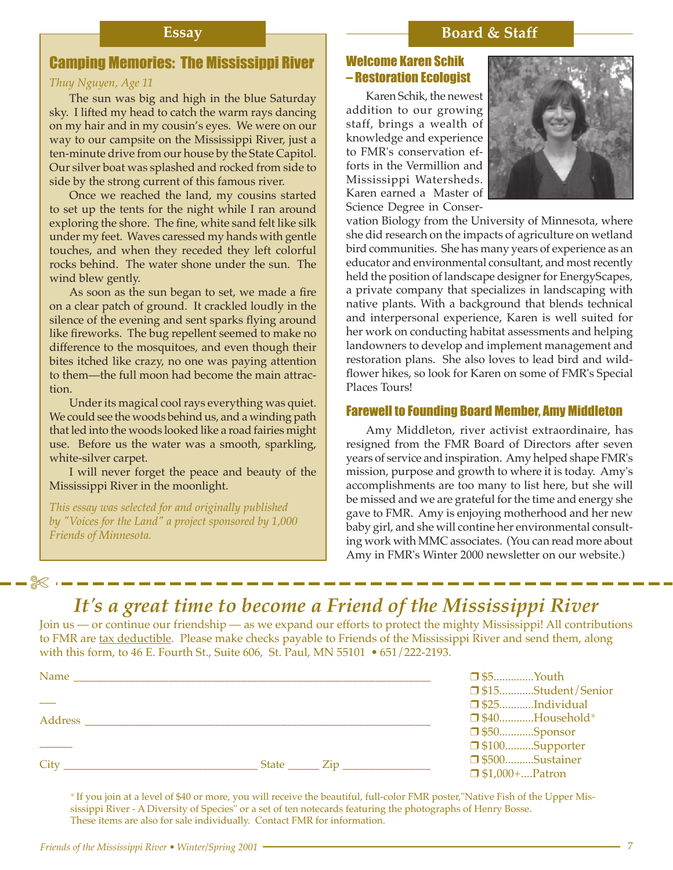### **Essay Board & Staff**

### Camping Memories: The Mississippi River

#### *Thuy Nguyen, Age 11*

The sun was big and high in the blue Saturday sky. I lifted my head to catch the warm rays dancing on my hair and in my cousin's eyes. We were on our way to our campsite on the Mississippi River, just a ten-minute drive from our house by the State Capitol. Our silver boat was splashed and rocked from side to side by the strong current of this famous river.

Once we reached the land, my cousins started to set up the tents for the night while I ran around exploring the shore. The fine, white sand felt like silk under my feet. Waves caressed my hands with gentle touches, and when they receded they left colorful rocks behind. The water shone under the sun. The wind blew gently.

As soon as the sun began to set, we made a fire on a clear patch of ground. It crackled loudly in the silence of the evening and sent sparks flying around like fireworks. The bug repellent seemed to make no difference to the mosquitoes, and even though their bites itched like crazy, no one was paying attention to them—the full moon had become the main attraction.

Under its magical cool rays everything was quiet. We could see the woods behind us, and a winding path that led into the woods looked like a road fairies might use. Before us the water was a smooth, sparkling, white-silver carpet.

I will never forget the peace and beauty of the Mississippi River in the moonlight.

*This essay was selected for and originally published by "Voices for the Land" a project sponsored by 1,000 Friends of Minnesota.*

✄

#### Welcome Karen Schik – Restoration Ecologist

Karen Schik, the newest addition to our growing staff, brings a wealth of knowledge and experience to FMR's conservation efforts in the Vermillion and Mississippi Watersheds. Karen earned a Master of Science Degree in Conser-



vation Biology from the University of Minnesota, where she did research on the impacts of agriculture on wetland bird communities. She has many years of experience as an educator and environmental consultant, and most recently held the position of landscape designer for EnergyScapes, a private company that specializes in landscaping with native plants. With a background that blends technical and interpersonal experience, Karen is well suited for her work on conducting habitat assessments and helping landowners to develop and implement management and restoration plans. She also loves to lead bird and wildflower hikes, so look for Karen on some of FMR's Special Places Tours!

#### Farewell to Founding Board Member, Amy Middleton

Amy Middleton, river activist extraordinaire, has resigned from the FMR Board of Directors after seven years of service and inspiration. Amy helped shape FMR's mission, purpose and growth to where it is today. Amy's accomplishments are too many to list here, but she will be missed and we are grateful for the time and energy she gave to FMR. Amy is enjoying motherhood and her new baby girl, and she will contine her environmental consulting work with MMC associates. (You can read more about Amy in FMR's Winter 2000 newsletter on our website.)

# *It's a great time to become a Friend of the Mississippi River*

Join us — or continue our friendship — as we expand our efforts to protect the mighty Mississippi! All contributions to FMR are tax deductible. Please make checks payable to Friends of the Mississippi River and send them, along with this form, to 46 E. Fourth St., Suite 606, St. Paul, MN 55101 *•* 651/222-2193.

| Name    |                                            | $\Box$ \$5Youth       |                       |
|---------|--------------------------------------------|-----------------------|-----------------------|
|         |                                            |                       | □ \$15Student/Senior  |
|         |                                            | $\Box$ \$25Individual |                       |
| Address |                                            |                       | $\Box$ \$40Household* |
|         |                                            | $\Box$ \$50Sponsor    |                       |
|         |                                            | □ \$100Supporter      |                       |
| City    | $State$ $\_\_$ $\_\_$ $\_\_$ $\_\_$ $\_\_$ | □ \$500Sustainer      |                       |
|         |                                            | $\Box$ \$1,000+Patron |                       |

✳ If you join at a level of \$40 or more, you will receive the beautiful, full-color FMR poster,"Native Fish of the Upper Mississippi River - A Diversity of Species" or a set of ten notecards featuring the photographs of Henry Bosse. These items are also for sale individually. Contact FMR for information.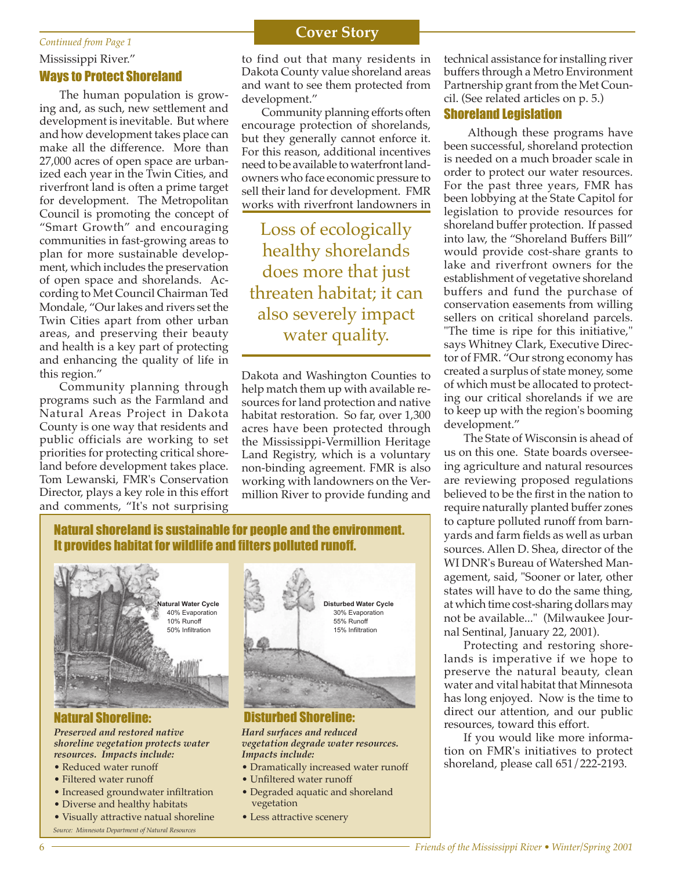#### Mississippi River." Ways to Protect Shoreland

The human population is growing and, as such, new settlement and development is inevitable. But where and how development takes place can make all the difference. More than 27,000 acres of open space are urbanized each year in the Twin Cities, and riverfront land is often a prime target for development. The Metropolitan Council is promoting the concept of "Smart Growth" and encouraging communities in fast-growing areas to plan for more sustainable development, which includes the preservation of open space and shorelands. According to Met Council Chairman Ted Mondale, "Our lakes and rivers set the Twin Cities apart from other urban areas, and preserving their beauty and health is a key part of protecting and enhancing the quality of life in this region."

Community planning through programs such as the Farmland and Natural Areas Project in Dakota County is one way that residents and public officials are working to set priorities for protecting critical shoreland before development takes place. Tom Lewanski, FMR's Conservation Director, plays a key role in this effort and comments, "It's not surprising

# **Continued from Page 1 Cover Story**

to find out that many residents in Dakota County value shoreland areas and want to see them protected from development."

Community planning efforts often encourage protection of shorelands, but they generally cannot enforce it. For this reason, additional incentives need to be available to waterfront landowners who face economic pressure to sell their land for development. FMR works with riverfront landowners in

Loss of ecologically healthy shorelands does more that just threaten habitat; it can also severely impact water quality.

Dakota and Washington Counties to help match them up with available resources for land protection and native habitat restoration. So far, over 1,300 acres have been protected through the Mississippi-Vermillion Heritage Land Registry, which is a voluntary non-binding agreement. FMR is also working with landowners on the Vermillion River to provide funding and technical assistance for installing river buffers through a Metro Environment Partnership grant from the Met Council. (See related articles on p. 5.)

#### Shoreland Legislation

 Although these programs have been successful, shoreland protection is needed on a much broader scale in order to protect our water resources. For the past three years, FMR has been lobbying at the State Capitol for legislation to provide resources for shoreland buffer protection. If passed into law, the "Shoreland Buffers Bill" would provide cost-share grants to lake and riverfront owners for the establishment of vegetative shoreland buffers and fund the purchase of conservation easements from willing sellers on critical shoreland parcels. "The time is ripe for this initiative," says Whitney Clark, Executive Director of FMR. "Our strong economy has created a surplus of state money, some of which must be allocated to protecting our critical shorelands if we are to keep up with the region's booming development."

The State of Wisconsin is ahead of us on this one. State boards overseeing agriculture and natural resources are reviewing proposed regulations believed to be the first in the nation to require naturally planted buffer zones to capture polluted runoff from barnyards and farm fields as well as urban sources. Allen D. Shea, director of the WI DNR's Bureau of Watershed Management, said, "Sooner or later, other states will have to do the same thing, at which time cost-sharing dollars may not be available..." (Milwaukee Journal Sentinal, January 22, 2001).

Protecting and restoring shorelands is imperative if we hope to preserve the natural beauty, clean water and vital habitat that Minnesota has long enjoyed. Now is the time to direct our attention, and our public resources, toward this effort.

If you would like more information on FMR's initiatives to protect shoreland, please call 651/222-2193.

## Natural shoreland is sustainable for people and the environment. It provides habitat for wildlife and filters polluted runoff.



*Preserved and restored native shoreline vegetation protects water resources. Impacts include:*

- Reduced water runoff
- Filtered water runoff
- Increased groundwater infiltration
- Diverse and healthy habitats
- Visually attractive natual shoreline *Source: Minnesota Department of Natural Resources*



Natural Shoreline: Disturbed Shoreline: *Hard surfaces and reduced* 

*vegetation degrade water resources. Impacts include:*

- Dramatically increased water runoff
- Unfiltered water runoff
- Degraded aquatic and shoreland vegetation
- Less attractive scenery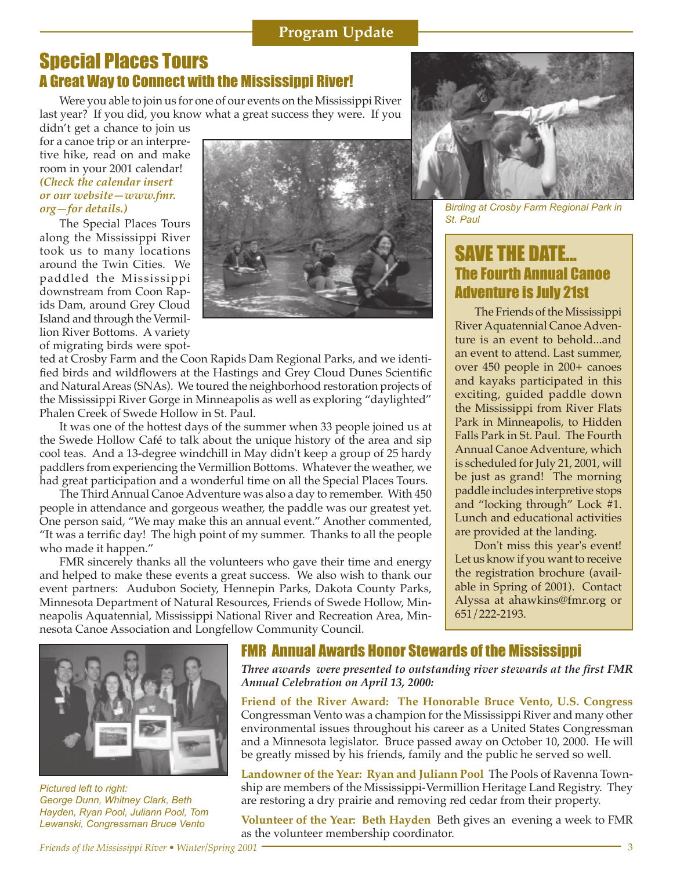*Friends of the Mississippi River • Winter/Spring 2001* 3

*Pictured left to right:* 

*George Dunn, Whitney Clark, Beth Hayden, Ryan Pool, Juliann Pool, Tom Lewanski, Congressman Bruce Vento*

# Special Places Tours A Great Way to Connect with the Mississippi River!

Were you able to join us for one of our events on the Mississippi River last year? If you did, you know what a great success they were. If you

didn't get a chance to join us for a canoe trip or an interpretive hike, read on and make room in your 2001 calendar! *(Check the calendar insert or our website—www.fmr. org—for details.)*

The Special Places Tours along the Mississippi River took us to many locations around the Twin Cities. We paddled the Mississippi downstream from Coon Rapids Dam, around Grey Cloud Island and through the Vermillion River Bottoms. A variety of migrating birds were spot-



ted at Crosby Farm and the Coon Rapids Dam Regional Parks, and we identified birds and wildflowers at the Hastings and Grey Cloud Dunes Scientific and Natural Areas (SNAs). We toured the neighborhood restoration projects of the Mississippi River Gorge in Minneapolis as well as exploring "daylighted" Phalen Creek of Swede Hollow in St. Paul.

It was one of the hottest days of the summer when 33 people joined us at the Swede Hollow Café to talk about the unique history of the area and sip cool teas. And a 13-degree windchill in May didn't keep a group of 25 hardy paddlers from experiencing the Vermillion Bottoms. Whatever the weather, we had great participation and a wonderful time on all the Special Places Tours.

The Third Annual Canoe Adventure was also a day to remember. With 450 people in attendance and gorgeous weather, the paddle was our greatest yet. One person said, "We may make this an annual event." Another commented, "It was a terrific day! The high point of my summer. Thanks to all the people who made it happen."

FMR sincerely thanks all the volunteers who gave their time and energy and helped to make these events a great success. We also wish to thank our event partners: Audubon Society, Hennepin Parks, Dakota County Parks, Minnesota Department of Natural Resources, Friends of Swede Hollow, Minneapolis Aquatennial, Mississippi National River and Recreation Area, Minnesota Canoe Association and Longfellow Community Council.



*Three awards were presented to outstanding river stewards at the first FMR Annual Celebration on April 13, 2000:*

**Friend of the River Award: The Honorable Bruce Vento, U.S. Congress** Congressman Vento was a champion for the Mississippi River and many other environmental issues throughout his career as a United States Congressman and a Minnesota legislator. Bruce passed away on October 10, 2000. He will be greatly missed by his friends, family and the public he served so well.

**Landowner of the Year: Ryan and Juliann Pool** The Pools of Ravenna Township are members of the Mississippi-Vermillion Heritage Land Registry. They are restoring a dry prairie and removing red cedar from their property.

**Volunteer of the Year: Beth Hayden** Beth gives an evening a week to FMR as the volunteer membership coordinator.



*Birding at Crosby Farm Regional Park in St. Paul*

## SAVE THE DATE... The Fourth Annual Canoe Adventure is July 21st

The Friends of the Mississippi River Aquatennial Canoe Adventure is an event to behold...and an event to attend. Last summer, over 450 people in 200+ canoes and kayaks participated in this exciting, guided paddle down the Mississippi from River Flats Park in Minneapolis, to Hidden Falls Park in St. Paul. The Fourth Annual Canoe Adventure, which is scheduled for July 21, 2001, will be just as grand! The morning paddle includes interpretive stops and "locking through" Lock #1. Lunch and educational activities are provided at the landing.

Don't miss this year's event! Let us know if you want to receive the registration brochure (available in Spring of 2001). Contact Alyssa at ahawkins@fmr.org or 651/222-2193.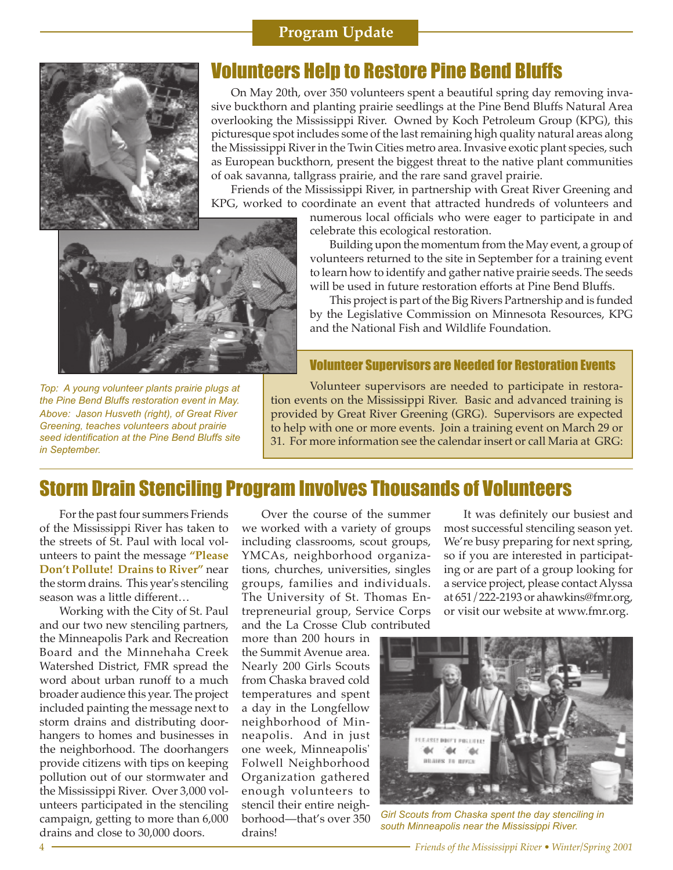### **Program Update**



## Volunteers Help to Restore Pine Bend Bluffs

On May 20th, over 350 volunteers spent a beautiful spring day removing invasive buckthorn and planting prairie seedlings at the Pine Bend Bluffs Natural Area overlooking the Mississippi River. Owned by Koch Petroleum Group (KPG), this picturesque spot includes some of the last remaining high quality natural areas along the Mississippi River in the Twin Cities metro area. Invasive exotic plant species, such as European buckthorn, present the biggest threat to the native plant communities of oak savanna, tallgrass prairie, and the rare sand gravel prairie.

Friends of the Mississippi River, in partnership with Great River Greening and KPG, worked to coordinate an event that attracted hundreds of volunteers and



numerous local officials who were eager to participate in and celebrate this ecological restoration.

Building upon the momentum from the May event, a group of volunteers returned to the site in September for a training event to learn how to identify and gather native prairie seeds. The seeds will be used in future restoration efforts at Pine Bend Bluffs.

This project is part of the Big Rivers Partnership and is funded by the Legislative Commission on Minnesota Resources, KPG and the National Fish and Wildlife Foundation.

#### Volunteer Supervisors are Needed for Restoration Events

*Top: A young volunteer plants prairie plugs at the Pine Bend Bluffs restoration event in May. Above: Jason Husveth (right), of Great River Greening, teaches volunteers about prairie seed identification at the Pine Bend Bluffs site in September.*

Volunteer supervisors are needed to participate in restoration events on the Mississippi River. Basic and advanced training is provided by Great River Greening (GRG). Supervisors are expected to help with one or more events. Join a training event on March 29 or 31. For more information see the calendar insert or call Maria at GRG:

## Storm Drain Stenciling Program Involves Thousands of Volunteers

For the past four summers Friends of the Mississippi River has taken to the streets of St. Paul with local volunteers to paint the message **"Please Don't Pollute! Drains to River"** near the storm drains. This year's stenciling season was a little different…

Working with the City of St. Paul and our two new stenciling partners, the Minneapolis Park and Recreation Board and the Minnehaha Creek Watershed District, FMR spread the word about urban runoff to a much broader audience this year. The project included painting the message next to storm drains and distributing doorhangers to homes and businesses in the neighborhood. The doorhangers provide citizens with tips on keeping pollution out of our stormwater and the Mississippi River. Over 3,000 volunteers participated in the stenciling campaign, getting to more than 6,000 drains and close to 30,000 doors.

Over the course of the summer we worked with a variety of groups including classrooms, scout groups, YMCAs, neighborhood organizations, churches, universities, singles groups, families and individuals. The University of St. Thomas Entrepreneurial group, Service Corps and the La Crosse Club contributed

more than 200 hours in the Summit Avenue area. Nearly 200 Girls Scouts from Chaska braved cold temperatures and spent a day in the Longfellow neighborhood of Minneapolis. And in just one week, Minneapolis' Folwell Neighborhood Organization gathered enough volunteers to stencil their entire neighborhood—that's over 350 drains!

It was definitely our busiest and most successful stenciling season yet. We're busy preparing for next spring, so if you are interested in participating or are part of a group looking for a service project, please contact Alyssa at 651/222-2193 or ahawkins@fmr.org, or visit our website at www.fmr.org.



*Girl Scouts from Chaska spent the day stenciling in south Minneapolis near the Mississippi River.*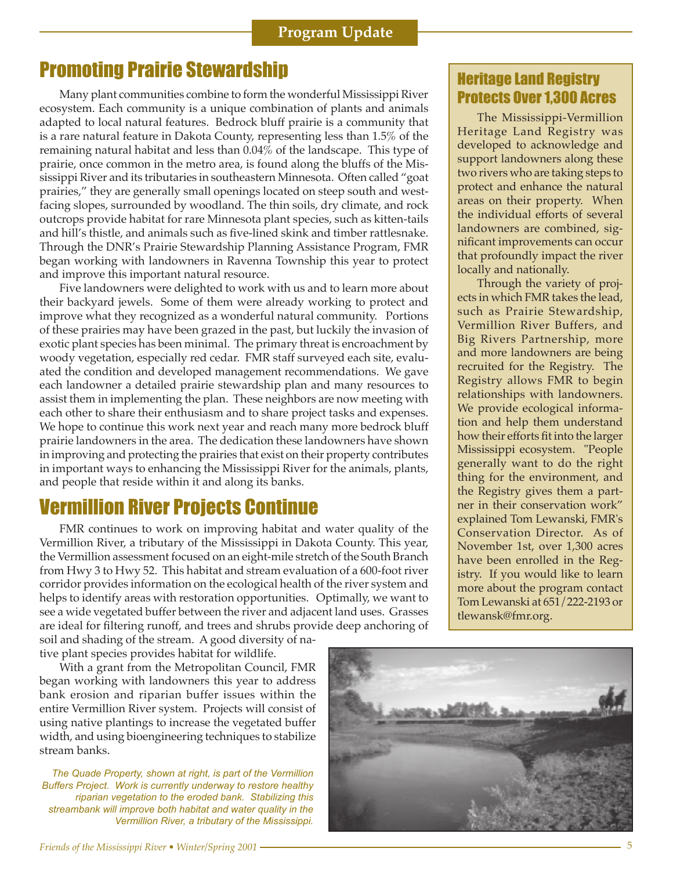# **Promoting Prairie Stewardship Equation Constructs Constructs Promoting Prairie Stewardship**

Many plant communities combine to form the wonderful Mississippi River ecosystem. Each community is a unique combination of plants and animals adapted to local natural features. Bedrock bluff prairie is a community that is a rare natural feature in Dakota County, representing less than 1.5% of the remaining natural habitat and less than 0.04% of the landscape. This type of prairie, once common in the metro area, is found along the bluffs of the Mississippi River and its tributaries in southeastern Minnesota. Often called "goat prairies," they are generally small openings located on steep south and westfacing slopes, surrounded by woodland. The thin soils, dry climate, and rock outcrops provide habitat for rare Minnesota plant species, such as kitten-tails and hill's thistle, and animals such as five-lined skink and timber rattlesnake. Through the DNR's Prairie Stewardship Planning Assistance Program, FMR began working with landowners in Ravenna Township this year to protect and improve this important natural resource.

Five landowners were delighted to work with us and to learn more about their backyard jewels. Some of them were already working to protect and improve what they recognized as a wonderful natural community. Portions of these prairies may have been grazed in the past, but luckily the invasion of exotic plant species has been minimal. The primary threat is encroachment by woody vegetation, especially red cedar. FMR staff surveyed each site, evaluated the condition and developed management recommendations. We gave each landowner a detailed prairie stewardship plan and many resources to assist them in implementing the plan. These neighbors are now meeting with each other to share their enthusiasm and to share project tasks and expenses. We hope to continue this work next year and reach many more bedrock bluff prairie landowners in the area. The dedication these landowners have shown in improving and protecting the prairies that exist on their property contributes in important ways to enhancing the Mississippi River for the animals, plants, and people that reside within it and along its banks.

# Vermillion River Projects Continue

FMR continues to work on improving habitat and water quality of the Vermillion River, a tributary of the Mississippi in Dakota County. This year, the Vermillion assessment focused on an eight-mile stretch of the South Branch from Hwy 3 to Hwy 52. This habitat and stream evaluation of a 600-foot river corridor provides information on the ecological health of the river system and helps to identify areas with restoration opportunities. Optimally, we want to see a wide vegetated buffer between the river and adjacent land uses. Grasses are ideal for filtering runoff, and trees and shrubs provide deep anchoring of

soil and shading of the stream. A good diversity of native plant species provides habitat for wildlife.

With a grant from the Metropolitan Council, FMR began working with landowners this year to address bank erosion and riparian buffer issues within the entire Vermillion River system. Projects will consist of using native plantings to increase the vegetated buffer width, and using bioengineering techniques to stabilize stream banks.

*The Quade Property, shown at right, is part of the Vermillion Buffers Project. Work is currently underway to restore healthy riparian vegetation to the eroded bank. Stabilizing this streambank will improve both habitat and water quality in the Vermillion River, a tributary of the Mississippi.*

The Mississippi-Vermillion Heritage Land Registry was developed to acknowledge and support landowners along these two rivers who are taking steps to protect and enhance the natural areas on their property. When the individual efforts of several landowners are combined, significant improvements can occur that profoundly impact the river locally and nationally.

Through the variety of projects in which FMR takes the lead, such as Prairie Stewardship, Vermillion River Buffers, and Big Rivers Partnership, more and more landowners are being recruited for the Registry. The Registry allows FMR to begin relationships with landowners. We provide ecological information and help them understand how their efforts fit into the larger Mississippi ecosystem. "People generally want to do the right thing for the environment, and the Registry gives them a partner in their conservation work" explained Tom Lewanski, FMR's Conservation Director. As of November 1st, over 1,300 acres have been enrolled in the Registry. If you would like to learn more about the program contact Tom Lewanski at 651/222-2193 or tlewansk@fmr.org.

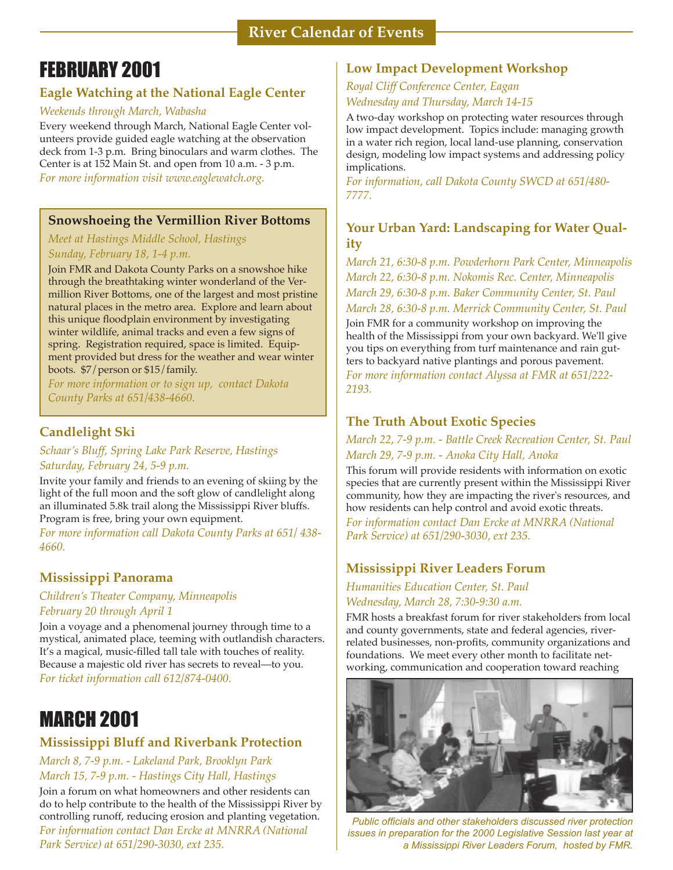# FEBRUARY 2001

#### **Eagle Watching at the National Eagle Center**

#### *Weekends through March, Wabasha*

Every weekend through March, National Eagle Center volunteers provide guided eagle watching at the observation deck from 1-3 p.m. Bring binoculars and warm clothes. The Center is at 152 Main St. and open from 10 a.m. - 3 p.m. *For more information visit www.eaglewatch.org.*

#### **Snowshoeing the Vermillion River Bottoms**

#### *Meet at Hastings Middle School, Hastings Sunday, February 18, 1-4 p.m.*

Join FMR and Dakota County Parks on a snowshoe hike through the breathtaking winter wonderland of the Vermillion River Bottoms, one of the largest and most pristine natural places in the metro area. Explore and learn about this unique floodplain environment by investigating winter wildlife, animal tracks and even a few signs of spring. Registration required, space is limited. Equipment provided but dress for the weather and wear winter boots. \$7/person or \$15/family.

*For more information or to sign up, contact Dakota County Parks at 651/438-4660.*

#### **Candlelight Ski**

*Schaar's Bluff, Spring Lake Park Reserve, Hastings Saturday, February 24, 5-9 p.m.* 

Invite your family and friends to an evening of skiing by the light of the full moon and the soft glow of candlelight along an illuminated 5.8k trail along the Mississippi River bluffs. Program is free, bring your own equipment.

*For more information call Dakota County Parks at 651/ 438- 4660.*

#### **Mississippi Panorama**

#### *Children's Theater Company, Minneapolis February 20 through April 1*

Join a voyage and a phenomenal journey through time to a mystical, animated place, teeming with outlandish characters. It's a magical, music-filled tall tale with touches of reality. Because a majestic old river has secrets to reveal—to you. *For ticket information call 612/874-0400.*

# MARCH 2001

#### **Mississippi Bluff and Riverbank Protection**

*March 8, 7-9 p.m. - Lakeland Park, Brooklyn Park March 15, 7-9 p.m. - Hastings City Hall, Hastings*

Join a forum on what homeowners and other residents can do to help contribute to the health of the Mississippi River by controlling runoff, reducing erosion and planting vegetation. *For information contact Dan Ercke at MNRRA (National Park Service) at 651/290-3030, ext 235.*

#### **Low Impact Development Workshop**

#### *Royal Cliff Conference Center, Eagan Wednesday and Thursday, March 14-15*

A two-day workshop on protecting water resources through low impact development. Topics include: managing growth in a water rich region, local land-use planning, conservation design, modeling low impact systems and addressing policy implications.

*For information, call Dakota County SWCD at 651/480- 7777.*

#### **Your Urban Yard: Landscaping for Water Quality**

*March 21, 6:30-8 p.m. Powderhorn Park Center, Minneapolis March 22, 6:30-8 p.m. Nokomis Rec. Center, Minneapolis March 29, 6:30-8 p.m. Baker Community Center, St. Paul March 28, 6:30-8 p.m. Merrick Community Center, St. Paul*

Join FMR for a community workshop on improving the health of the Mississippi from your own backyard. We'll give you tips on everything from turf maintenance and rain gutters to backyard native plantings and porous pavement. *For more information contact Alyssa at FMR at 651/222- 2193.*

### **The Truth About Exotic Species**

*March 22, 7-9 p.m. - Battle Creek Recreation Center, St. Paul March 29, 7-9 p.m. - Anoka City Hall, Anoka*

This forum will provide residents with information on exotic species that are currently present within the Mississippi River community, how they are impacting the river's resources, and how residents can help control and avoid exotic threats. *For information contact Dan Ercke at MNRRA (National Park Service) at 651/290-3030, ext 235.*

### **Mississippi River Leaders Forum**

*Humanities Education Center, St. Paul Wednesday, March 28, 7:30-9:30 a.m.*

FMR hosts a breakfast forum for river stakeholders from local and county governments, state and federal agencies, riverrelated businesses, non-profits, community organizations and foundations. We meet every other month to facilitate networking, communication and cooperation toward reaching



*Public officials and other stakeholders discussed river protection issues in preparation for the 2000 Legislative Session last year at a Mississippi River Leaders Forum, hosted by FMR.*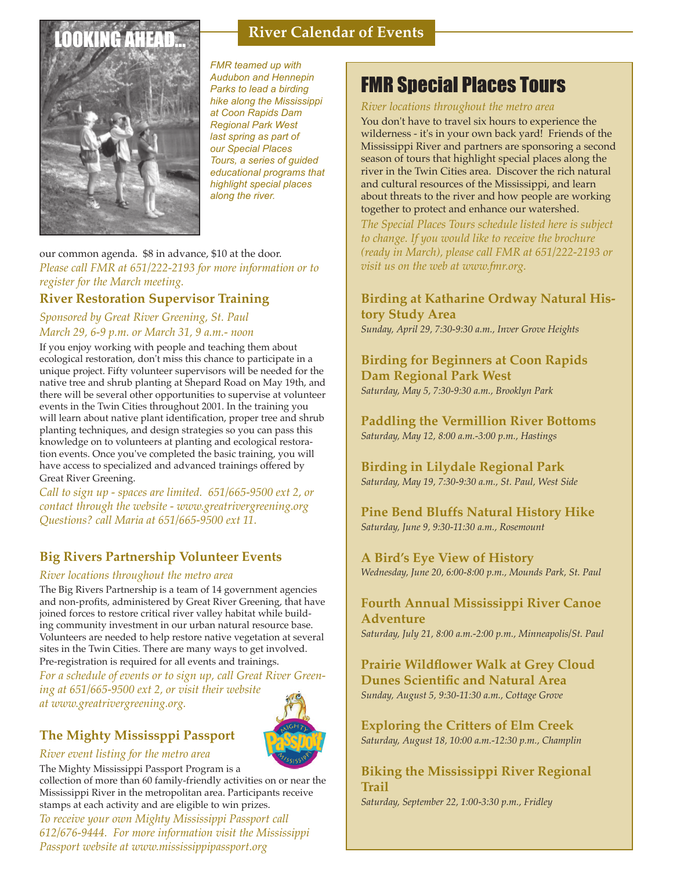# **LOOKING AHE**



*FMR teamed up with Audubon and Hennepin Parks to lead a birding hike along the Mississippi at Coon Rapids Dam Regional Park West last spring as part of our Special Places Tours, a series of guided educational programs that highlight special places along the river.* 

**River Calendar of Events**

#### our common agenda. \$8 in advance, \$10 at the door. *Please call FMR at 651/222-2193 for more information or to register for the March meeting.*

### **River Restoration Supervisor Training**

#### *Sponsored by Great River Greening, St. Paul March 29, 6-9 p.m. or March 31, 9 a.m.- noon*

If you enjoy working with people and teaching them about ecological restoration, don't miss this chance to participate in a unique project. Fifty volunteer supervisors will be needed for the native tree and shrub planting at Shepard Road on May 19th, and there will be several other opportunities to supervise at volunteer events in the Twin Cities throughout 2001. In the training you will learn about native plant identification, proper tree and shrub planting techniques, and design strategies so you can pass this knowledge on to volunteers at planting and ecological restoration events. Once you've completed the basic training, you will have access to specialized and advanced trainings offered by Great River Greening.

*Call to sign up - spaces are limited. 651/665-9500 ext 2, or contact through the website - www.greatrivergreening.org Questions? call Maria at 651/665-9500 ext 11.*

### **Big Rivers Partnership Volunteer Events**

#### *River locations throughout the metro area*

The Big Rivers Partnership is a team of 14 government agencies and non-profits, administered by Great River Greening, that have joined forces to restore critical river valley habitat while building community investment in our urban natural resource base. Volunteers are needed to help restore native vegetation at several sites in the Twin Cities. There are many ways to get involved. Pre-registration is required for all events and trainings.

*For a schedule of events or to sign up, call Great River Greening at 651/665-9500 ext 2, or visit their website at www.greatrivergreening.org.*

## **The Mighty Mississppi Passport**

#### *River event listing for the metro area*

The Mighty Mississippi Passport Program is a

collection of more than 60 family-friendly activities on or near the Mississippi River in the metropolitan area. Participants receive stamps at each activity and are eligible to win prizes.

*To receive your own Mighty Mississippi Passport call 612/676-9444. For more information visit the Mississippi Passport website at www.mississippipassport.org*

# FMR Special Places Tours

#### *River locations throughout the metro area*

You don't have to travel six hours to experience the wilderness - it's in your own back yard! Friends of the Mississippi River and partners are sponsoring a second season of tours that highlight special places along the river in the Twin Cities area. Discover the rich natural and cultural resources of the Mississippi, and learn about threats to the river and how people are working together to protect and enhance our watershed.

*The Special Places Tours schedule listed here is subject to change. If you would like to receive the brochure (ready in March), please call FMR at 651/222-2193 or visit us on the web at www.fmr.org.*

#### **Birding at Katharine Ordway Natural History Study Area**  *Sunday, April 29, 7:30-9:30 a.m., Inver Grove Heights*

#### **Birding for Beginners at Coon Rapids Dam Regional Park West**  *Saturday, May 5, 7:30-9:30 a.m., Brooklyn Park*

**Paddling the Vermillion River Bottoms** *Saturday, May 12, 8:00 a.m.-3:00 p.m., Hastings*

**Birding in Lilydale Regional Park** *Saturday, May 19, 7:30-9:30 a.m., St. Paul, West Side*

**Pine Bend Bluffs Natural History Hike** *Saturday, June 9, 9:30-11:30 a.m., Rosemount*

**A Bird's Eye View of History** *Wednesday, June 20, 6:00-8:00 p.m., Mounds Park, St. Paul*

# **Fourth Annual Mississippi River Canoe Adventure**

*Saturday, July 21, 8:00 a.m.-2:00 p.m., Minneapolis/St. Paul*

**Prairie Wildflower Walk at Grey Cloud Dunes Scientific and Natural Area** *Sunday, August 5, 9:30-11:30 a.m., Cottage Grove*

**Exploring the Critters of Elm Creek** *Saturday, August 18, 10:00 a.m.-12:30 p.m., Champlin*

**Biking the Mississippi River Regional Trail** *Saturday, September 22, 1:00-3:30 p.m., Fridley*